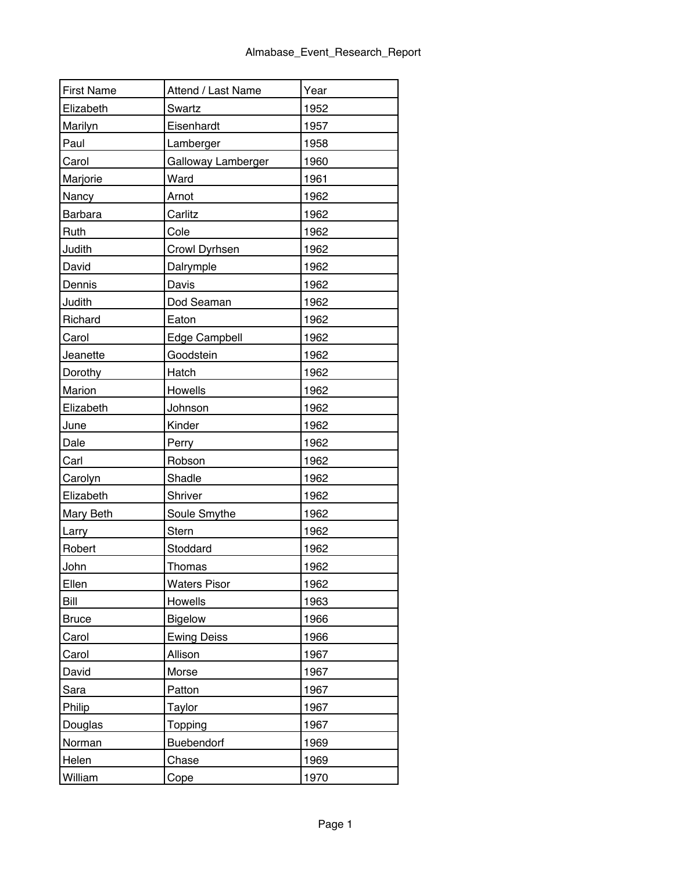| <b>First Name</b> | Attend / Last Name  | Year |
|-------------------|---------------------|------|
| Elizabeth         | Swartz              | 1952 |
| Marilyn           | Eisenhardt          | 1957 |
| Paul              | Lamberger           | 1958 |
| Carol             | Galloway Lamberger  | 1960 |
| Marjorie          | Ward                | 1961 |
| <b>Nancy</b>      | Arnot               | 1962 |
| Barbara           | Carlitz             | 1962 |
| Ruth              | Cole                | 1962 |
| Judith            | Crowl Dyrhsen       | 1962 |
| David             | Dalrymple           | 1962 |
| Dennis            | Davis               | 1962 |
| Judith            | Dod Seaman          | 1962 |
| Richard           | Eaton               | 1962 |
| Carol             | Edge Campbell       | 1962 |
| Jeanette          | Goodstein           | 1962 |
| Dorothy           | Hatch               | 1962 |
| Marion            | Howells             | 1962 |
| Elizabeth         | Johnson             | 1962 |
| June              | Kinder              | 1962 |
| Dale              | Perry               | 1962 |
| Carl              | Robson              | 1962 |
| Carolyn           | Shadle              | 1962 |
| Elizabeth         | Shriver             | 1962 |
| Mary Beth         | Soule Smythe        | 1962 |
| Larry             | Stern               | 1962 |
| Robert            | Stoddard            | 1962 |
| John              | Thomas              | 1962 |
| Ellen             | <b>Waters Pisor</b> | 1962 |
| Bill              | Howells             | 1963 |
| <b>Bruce</b>      | <b>Bigelow</b>      | 1966 |
| Carol             | <b>Ewing Deiss</b>  | 1966 |
| Carol             | Allison             | 1967 |
| David             | Morse               | 1967 |
| Sara              | Patton              | 1967 |
| Philip            | Taylor              | 1967 |
| Douglas           | Topping             | 1967 |
| Norman            | Buebendorf          | 1969 |
| Helen             | Chase               | 1969 |
| William           | Cope                | 1970 |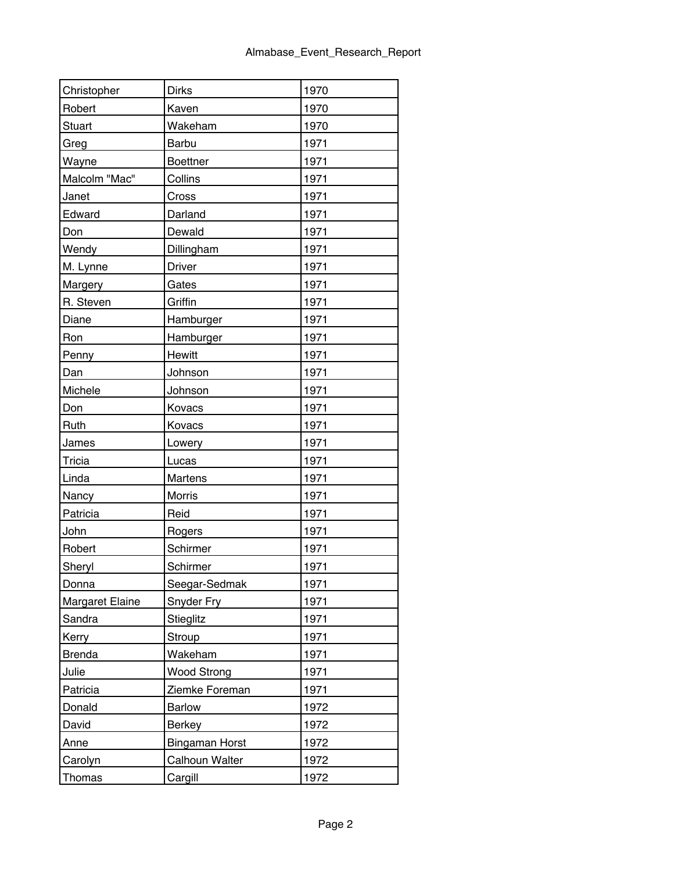| Christopher     | <b>Dirks</b>          | 1970 |
|-----------------|-----------------------|------|
| Robert          | Kaven                 | 1970 |
| <b>Stuart</b>   | Wakeham               | 1970 |
| Greg            | Barbu                 | 1971 |
| Wayne           | <b>Boettner</b>       | 1971 |
| Malcolm "Mac"   | Collins               | 1971 |
| Janet           | Cross                 | 1971 |
| Edward          | Darland               | 1971 |
| Don             | Dewald                | 1971 |
| Wendy           | Dillingham            | 1971 |
| M. Lynne        | Driver                | 1971 |
| <b>Margery</b>  | Gates                 | 1971 |
| R. Steven       | Griffin               | 1971 |
| Diane           | Hamburger             | 1971 |
| Ron             | Hamburger             | 1971 |
| Penny           | Hewitt                | 1971 |
| Dan             | Johnson               | 1971 |
| Michele         | Johnson               | 1971 |
| Don             | Kovacs                | 1971 |
| Ruth            | Kovacs                | 1971 |
| James           | Lowery                | 1971 |
| <b>Tricia</b>   | Lucas                 | 1971 |
| Linda           | Martens               | 1971 |
| <b>Nancy</b>    | Morris                | 1971 |
| Patricia        | Reid                  | 1971 |
| John            | Rogers                | 1971 |
| Robert          | Schirmer              | 1971 |
| Sheryl          | Schirmer              | 1971 |
| Donna           | Seegar-Sedmak         | 1971 |
| Margaret Elaine | Snyder Fry            | 1971 |
| Sandra          | Stieglitz             | 1971 |
| Kerry           | Stroup                | 1971 |
| <b>Brenda</b>   | Wakeham               | 1971 |
| Julie           | <b>Wood Strong</b>    | 1971 |
| Patricia        | Ziemke Foreman        | 1971 |
| Donald          | <b>Barlow</b>         | 1972 |
| David           | <b>Berkey</b>         | 1972 |
| Anne            | <b>Bingaman Horst</b> | 1972 |
| Carolyn         | Calhoun Walter        | 1972 |
| Thomas          | Cargill               | 1972 |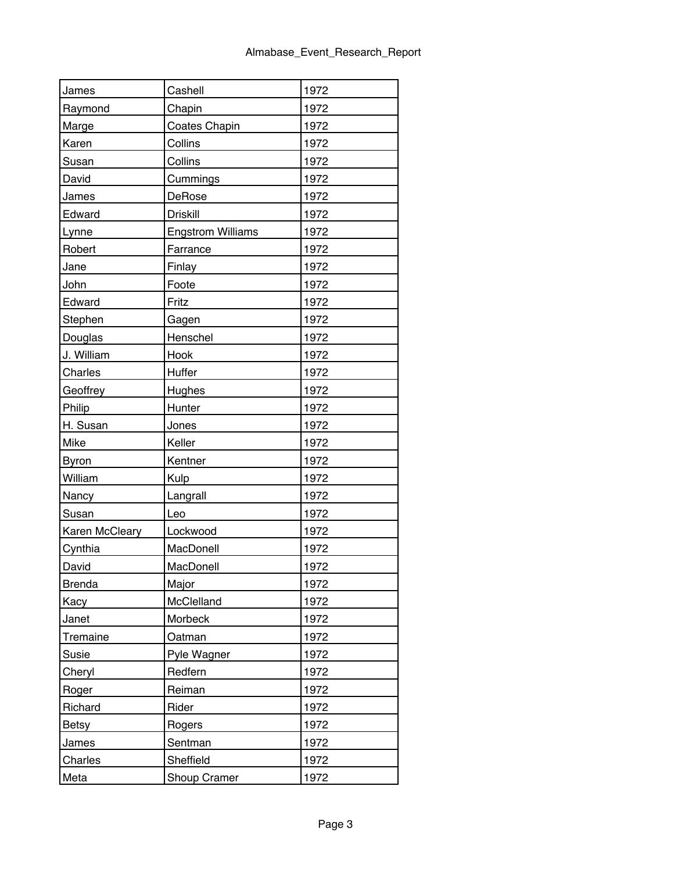| James          | Cashell                  | 1972 |
|----------------|--------------------------|------|
| Raymond        | Chapin                   | 1972 |
| Marge          | Coates Chapin            | 1972 |
| Karen          | Collins                  | 1972 |
| Susan          | Collins                  | 1972 |
| David          | Cummings                 | 1972 |
| James          | DeRose                   | 1972 |
| Edward         | <b>Driskill</b>          | 1972 |
| Lynne          | <b>Engstrom Williams</b> | 1972 |
| Robert         | Farrance                 | 1972 |
| Jane           | Finlay                   | 1972 |
| John           | Foote                    | 1972 |
| Edward         | Fritz                    | 1972 |
| Stephen        | Gagen                    | 1972 |
| Douglas        | Henschel                 | 1972 |
| J. William     | Hook                     | 1972 |
| Charles        | Huffer                   | 1972 |
| Geoffrey       | <b>Hughes</b>            | 1972 |
| Philip         | Hunter                   | 1972 |
| H. Susan       | Jones                    | 1972 |
| Mike           | Keller                   | 1972 |
| <b>Byron</b>   | Kentner                  | 1972 |
| William        | Kulp                     | 1972 |
| Nancy          | Langrall                 | 1972 |
| Susan          | Leo                      | 1972 |
| Karen McCleary | Lockwood                 | 1972 |
| Cynthia        | MacDonell                | 1972 |
| David          | MacDonell                | 1972 |
| <b>Brenda</b>  | Major                    | 1972 |
| Kacy           | McClelland               | 1972 |
| Janet          | Morbeck                  | 1972 |
| Tremaine       | Oatman                   | 1972 |
| Susie          | Pyle Wagner              | 1972 |
| Cheryl         | Redfern                  | 1972 |
| Roger          | Reiman                   | 1972 |
| Richard        | Rider                    | 1972 |
| <b>Betsy</b>   | Rogers                   | 1972 |
| James          | Sentman                  | 1972 |
| Charles        | Sheffield                | 1972 |
| Meta           | Shoup Cramer             | 1972 |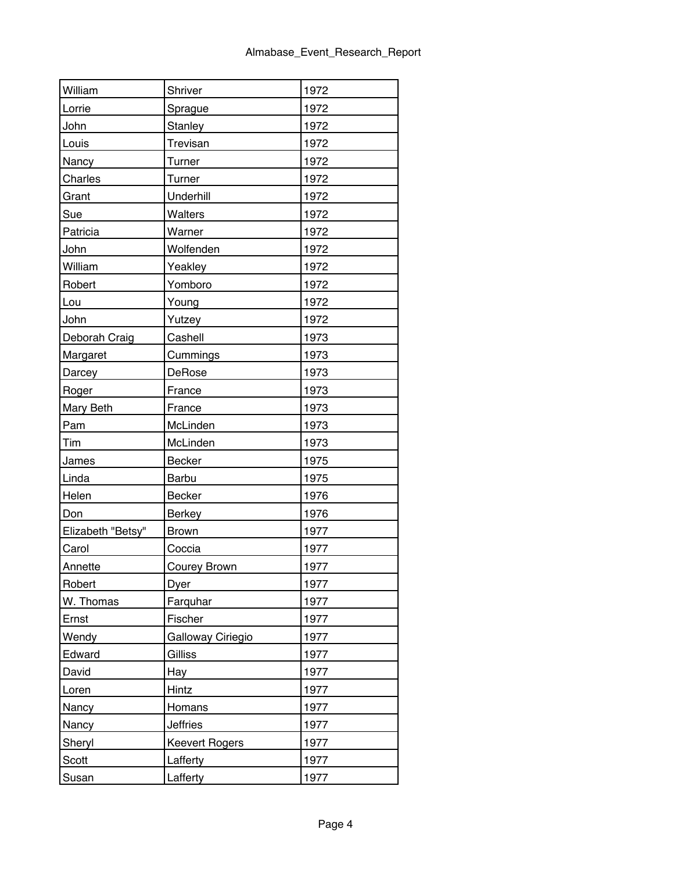| William           | Shriver               | 1972 |
|-------------------|-----------------------|------|
| Lorrie            | Sprague               | 1972 |
| John              | <b>Stanley</b>        | 1972 |
| Louis             | Trevisan              | 1972 |
| <b>Nancy</b>      | Turner                | 1972 |
| Charles           | Turner                | 1972 |
| Grant             | Underhill             | 1972 |
| Sue               | Walters               | 1972 |
| Patricia          | Warner                | 1972 |
| John              | Wolfenden             | 1972 |
| William           | Yeakley               | 1972 |
| Robert            | Yomboro               | 1972 |
| Lou               | Young                 | 1972 |
| John              | Yutzey                | 1972 |
| Deborah Craig     | Cashell               | 1973 |
| Margaret          | Cummings              | 1973 |
| Darcey            | DeRose                | 1973 |
| Roger             | France                | 1973 |
| Mary Beth         | France                | 1973 |
| Pam               | McLinden              | 1973 |
| Tim               | McLinden              | 1973 |
| James             | <b>Becker</b>         | 1975 |
| Linda             | Barbu                 | 1975 |
| Helen             | Becker                | 1976 |
| Don               | <b>Berkey</b>         | 1976 |
| Elizabeth "Betsy" | <b>Brown</b>          | 1977 |
| Carol             | Coccia                | 1977 |
| Annette           | Courey Brown          | 1977 |
| Robert            | Dyer                  | 1977 |
| W. Thomas         | Farquhar              | 1977 |
| Ernst             | Fischer               | 1977 |
| Wendy             | Galloway Ciriegio     | 1977 |
| Edward            | Gilliss               | 1977 |
| David             | Hay                   | 1977 |
| Loren             | Hintz                 | 1977 |
| Nancy             | Homans                | 1977 |
| Nancy             | <b>Jeffries</b>       | 1977 |
| Sheryl            | <b>Keevert Rogers</b> | 1977 |
| Scott             | Lafferty              | 1977 |
| Susan             | Lafferty              | 1977 |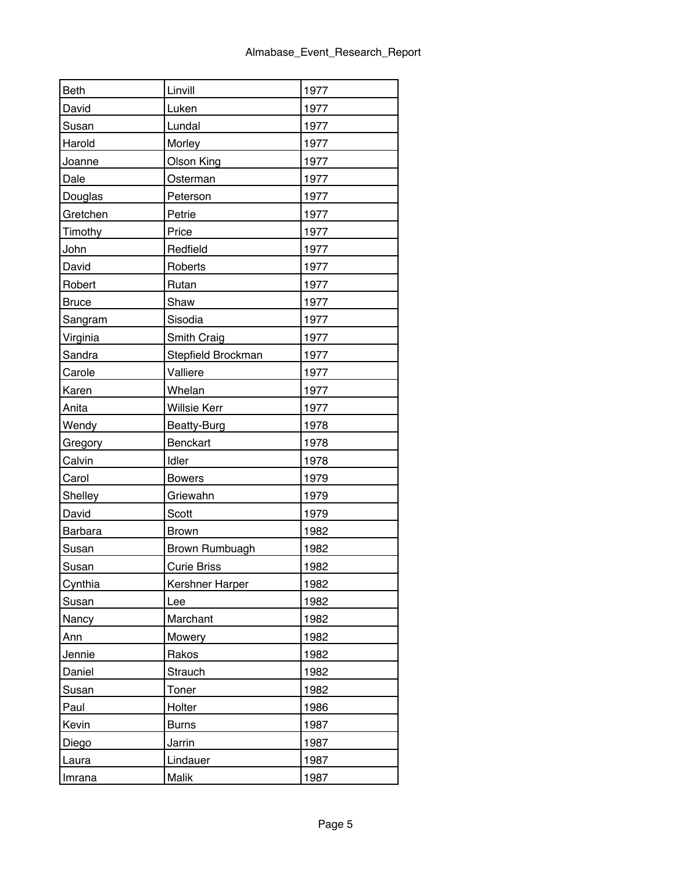| <b>Beth</b>  | Linvill            | 1977 |
|--------------|--------------------|------|
| David        | Luken              | 1977 |
| Susan        | Lundal             | 1977 |
| Harold       | Morley             | 1977 |
| Joanne       | <b>Olson King</b>  | 1977 |
| Dale         | Osterman           | 1977 |
| Douglas      | Peterson           | 1977 |
| Gretchen     | Petrie             | 1977 |
| Timothy      | Price              | 1977 |
| John         | Redfield           | 1977 |
| David        | Roberts            | 1977 |
| Robert       | Rutan              | 1977 |
| <b>Bruce</b> | Shaw               | 1977 |
| Sangram      | Sisodia            | 1977 |
| Virginia     | Smith Craig        | 1977 |
| Sandra       | Stepfield Brockman | 1977 |
| Carole       | Valliere           | 1977 |
| Karen        | Whelan             | 1977 |
| Anita        | Willsie Kerr       | 1977 |
| Wendy        | Beatty-Burg        | 1978 |
| Gregory      | Benckart           | 1978 |
| Calvin       | Idler              | 1978 |
| Carol        | <b>Bowers</b>      | 1979 |
| Shelley      | Griewahn           | 1979 |
| David        | Scott              | 1979 |
| Barbara      | <b>Brown</b>       | 1982 |
| Susan        | Brown Rumbuagh     | 1982 |
| Susan        | <b>Curie Briss</b> | 1982 |
| Cynthia      | Kershner Harper    | 1982 |
| Susan        | Lee                | 1982 |
| Nancy        | Marchant           | 1982 |
| Ann          | Mowery             | 1982 |
| Jennie       | Rakos              | 1982 |
| Daniel       | Strauch            | 1982 |
| Susan        | Toner              | 1982 |
| Paul         | Holter             | 1986 |
| Kevin        | <b>Burns</b>       | 1987 |
| Diego        | Jarrin             | 1987 |
| Laura        | Lindauer           | 1987 |
| Imrana       | Malik              | 1987 |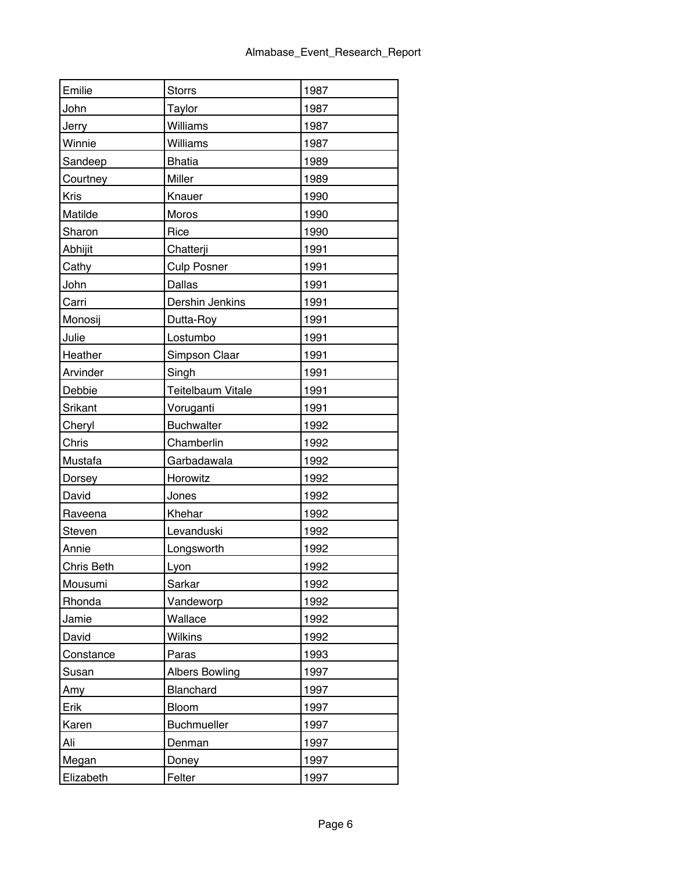| Emilie     | <b>Storrs</b>         | 1987 |
|------------|-----------------------|------|
| John       | Taylor                | 1987 |
| Jerry      | Williams              | 1987 |
| Winnie     | Williams              | 1987 |
| Sandeep    | <b>Bhatia</b>         | 1989 |
| Courtney   | Miller                | 1989 |
| Kris       | Knauer                | 1990 |
| Matilde    | Moros                 | 1990 |
| Sharon     | Rice                  | 1990 |
| Abhijit    | Chatterji             | 1991 |
| Cathy      | <b>Culp Posner</b>    | 1991 |
| John       | Dallas                | 1991 |
| Carri      | Dershin Jenkins       | 1991 |
| Monosij    | Dutta-Roy             | 1991 |
| Julie      | Lostumbo              | 1991 |
| Heather    | Simpson Claar         | 1991 |
| Arvinder   | Singh                 | 1991 |
| Debbie     | Teitelbaum Vitale     | 1991 |
| Srikant    | Voruganti             | 1991 |
| Cheryl     | <b>Buchwalter</b>     | 1992 |
| Chris      | Chamberlin            | 1992 |
| Mustafa    | Garbadawala           | 1992 |
| Dorsey     | Horowitz              | 1992 |
| David      | Jones                 | 1992 |
| Raveena    | Khehar                | 1992 |
| Steven     | Levanduski            | 1992 |
| Annie      | Longsworth            | 1992 |
| Chris Beth | Lyon                  | 1992 |
| Mousumi    | Sarkar                | 1992 |
| Rhonda     | Vandeworp             | 1992 |
| Jamie      | Wallace               | 1992 |
| David      | <b>Wilkins</b>        | 1992 |
| Constance  | Paras                 | 1993 |
| Susan      | <b>Albers Bowling</b> | 1997 |
| Amy        | Blanchard             | 1997 |
| Erik       | Bloom                 | 1997 |
| Karen      | Buchmueller           | 1997 |
| Ali        | Denman                | 1997 |
| Megan      | Doney                 | 1997 |
| Elizabeth  | Felter                | 1997 |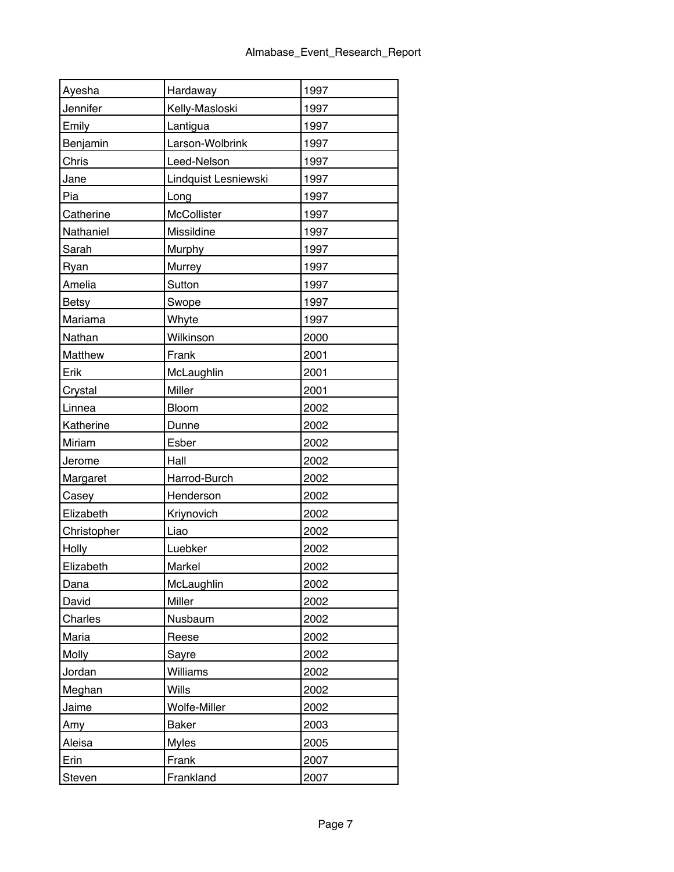| Ayesha       | Hardaway             | 1997 |
|--------------|----------------------|------|
| Jennifer     | Kelly-Masloski       | 1997 |
| Emily        | Lantigua             | 1997 |
| Benjamin     | Larson-Wolbrink      | 1997 |
| Chris        | Leed-Nelson          | 1997 |
| Jane         | Lindquist Lesniewski | 1997 |
| Pia          | Long                 | 1997 |
| Catherine    | McCollister          | 1997 |
| Nathaniel    | Missildine           | 1997 |
| Sarah        | Murphy               | 1997 |
| Ryan         | Murrey               | 1997 |
| Amelia       | Sutton               | 1997 |
| <b>Betsy</b> | Swope                | 1997 |
| Mariama      | Whyte                | 1997 |
| Nathan       | Wilkinson            | 2000 |
| Matthew      | Frank                | 2001 |
| Erik         | McLaughlin           | 2001 |
| Crystal      | Miller               | 2001 |
| Linnea       | Bloom                | 2002 |
| Katherine    | Dunne                | 2002 |
| Miriam       | Esber                | 2002 |
| Jerome       | Hall                 | 2002 |
| Margaret     | Harrod-Burch         | 2002 |
| Casey        | Henderson            | 2002 |
| Elizabeth    | Kriynovich           | 2002 |
| Christopher  | Liao                 | 2002 |
| Holly        | Luebker              | 2002 |
| Elizabeth    | Markel               | 2002 |
| Dana         | McLaughlin           | 2002 |
| David        | Miller               | 2002 |
| Charles      | Nusbaum              | 2002 |
| Maria        | Reese                | 2002 |
| Molly        | Sayre                | 2002 |
| Jordan       | Williams             | 2002 |
| Meghan       | Wills                | 2002 |
| Jaime        | Wolfe-Miller         | 2002 |
| Amy          | <b>Baker</b>         | 2003 |
| Aleisa       | <b>Myles</b>         | 2005 |
| Erin         | Frank                | 2007 |
| Steven       | Frankland            | 2007 |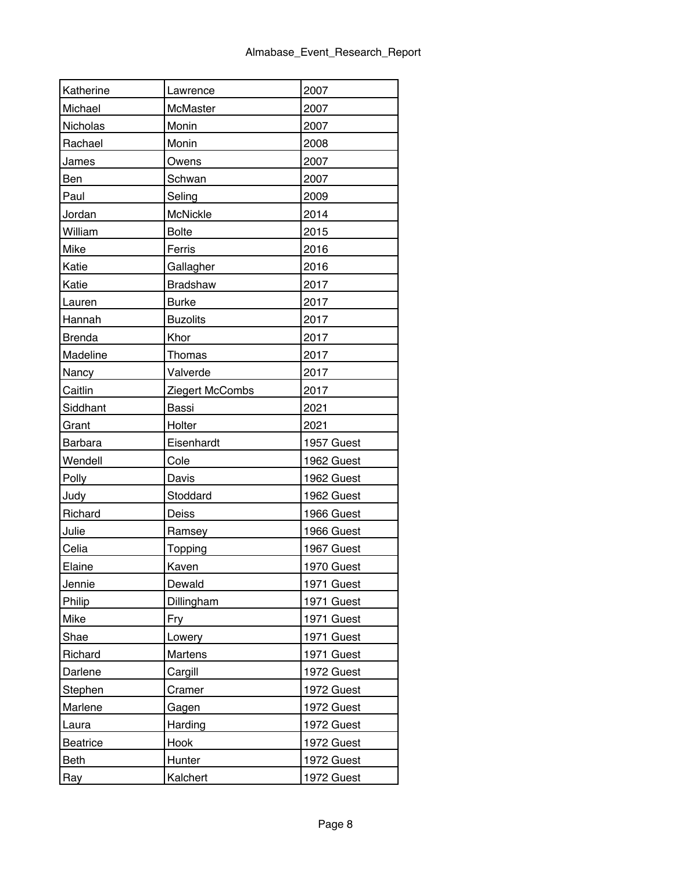| Katherine     | Lawrence        | 2007       |
|---------------|-----------------|------------|
| Michael       | McMaster        | 2007       |
| Nicholas      | Monin           | 2007       |
| Rachael       | Monin           | 2008       |
| James         | Owens           | 2007       |
| Ben           | Schwan          | 2007       |
| Paul          | Seling          | 2009       |
| Jordan        | McNickle        | 2014       |
| William       | <b>Bolte</b>    | 2015       |
| Mike          | Ferris          | 2016       |
| Katie         | Gallagher       | 2016       |
| Katie         | Bradshaw        | 2017       |
| Lauren        | <b>Burke</b>    | 2017       |
| Hannah        | <b>Buzolits</b> | 2017       |
| <b>Brenda</b> | Khor            | 2017       |
| Madeline      | Thomas          | 2017       |
| Nancy         | Valverde        | 2017       |
| Caitlin       | Ziegert McCombs | 2017       |
| Siddhant      | <b>Bassi</b>    | 2021       |
| Grant         | Holter          | 2021       |
| Barbara       | Eisenhardt      | 1957 Guest |
| Wendell       | Cole            | 1962 Guest |
| Polly         | Davis           | 1962 Guest |
| Judy          | Stoddard        | 1962 Guest |
| Richard       | Deiss           | 1966 Guest |
| Julie         | Ramsey          | 1966 Guest |
| Celia         | Topping         | 1967 Guest |
| Elaine        | Kaven           | 1970 Guest |
| Jennie        | Dewald          | 1971 Guest |
| Philip        | Dillingham      | 1971 Guest |
| Mike          | Fry             | 1971 Guest |
| Shae          | Lowery          | 1971 Guest |
| Richard       | <b>Martens</b>  | 1971 Guest |
| Darlene       | Cargill         | 1972 Guest |
| Stephen       | Cramer          | 1972 Guest |
| Marlene       | Gagen           | 1972 Guest |
| Laura         | Harding         | 1972 Guest |
| Beatrice      | Hook            | 1972 Guest |
| Beth          | Hunter          | 1972 Guest |
| Ray           | Kalchert        | 1972 Guest |